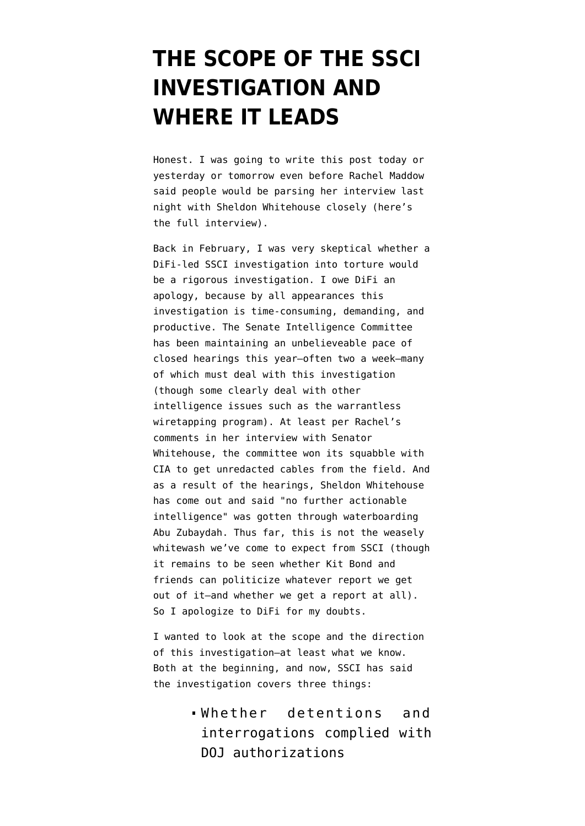## **[THE SCOPE OF THE SSCI](https://www.emptywheel.net/2009/06/12/the-scope-of-the-ssci-investigation-and-where-it-leads/) [INVESTIGATION AND](https://www.emptywheel.net/2009/06/12/the-scope-of-the-ssci-investigation-and-where-it-leads/) [WHERE IT LEADS](https://www.emptywheel.net/2009/06/12/the-scope-of-the-ssci-investigation-and-where-it-leads/)**

Honest. I was going to write this post today or yesterday or tomorrow even before Rachel Maddow said people would be parsing her interview last night with Sheldon Whitehouse closely ([here's](http://www.youtube.com/watch?v=GHkqNulftmE) [the full interview\)](http://www.youtube.com/watch?v=GHkqNulftmE).

Back in February, I [was very skeptical](http://emptywheel.firedoglake.com/2009/02/27/difis-whitewash/) whether a DiFi-led SSCI investigation into torture would be a rigorous investigation. I owe DiFi an apology, because by all appearances this investigation is time-consuming, demanding, and productive. The Senate Intelligence Committee has been maintaining an [unbelieveable pace](http://intelligence.senate.gov/hearings.cfm) of closed hearings this year–often two a week–many of which must deal with this investigation (though some clearly deal with other intelligence issues such as the warrantless wiretapping program). At least per Rachel's comments in her interview with Senator Whitehouse, the committee won [its squabble](http://emptywheel.firedoglake.com/2009/05/31/cia-congress-shouldnt-get-records-of-our-crimes/) with CIA to get unredacted cables from the field. And as a result of the hearings, Sheldon Whitehouse has come out and said "[no further actionable](http://emptywheel.firedoglake.com/2009/06/10/sheldon-whitehouse-no-further-actionable-intelligence-was-obtained-from-abu-zubaydah-by-waterboarding/) [intelligence](http://emptywheel.firedoglake.com/2009/06/10/sheldon-whitehouse-no-further-actionable-intelligence-was-obtained-from-abu-zubaydah-by-waterboarding/)" was gotten through waterboarding Abu Zubaydah. Thus far, this is not the weasely whitewash we've come to expect from SSCI (though it remains to be seen whether Kit Bond and friends can politicize whatever report we get out of it–and whether we get a report at all). So I apologize to DiFi for my doubts.

I wanted to look at the scope and the direction of this investigation–at least what we know. Both [at the beginning](http://emptywheel.firedoglake.com/2009/02/27/difis-whitewash/), and [now,](http://www.motherjones.com/bush/2009/06/will-senate-torture-probe-target-cheney) SSCI has said the investigation covers three things:

> Whether detentions and interrogations complied with DOJ authorizations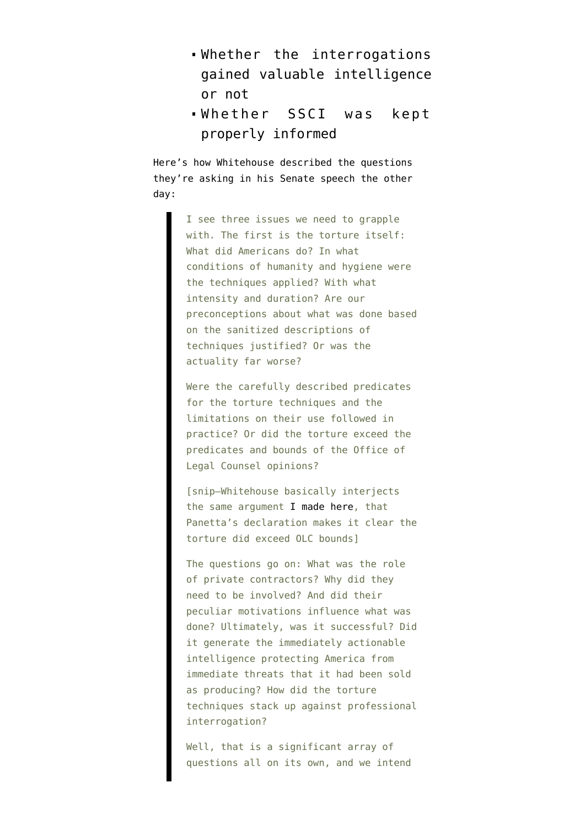- Whether the interrogations gained valuable intelligence or not
- Whether SSCI was kept properly informed

Here's how Whitehouse [described](http://www.fas.org/irp/congress/2009_cr/s060909.html) the questions they're asking in his Senate speech the other day:

> I see three issues we need to grapple with. The first is the torture itself: What did Americans do? In what conditions of humanity and hygiene were the techniques applied? With what intensity and duration? Are our preconceptions about what was done based on the sanitized descriptions of techniques justified? Or was the actuality far worse?

Were the carefully described predicates for the torture techniques and the limitations on their use followed in practice? Or did the torture exceed the predicates and bounds of the Office of Legal Counsel opinions?

[snip–Whitehouse basically interjects the same argument [I made here,](http://emptywheel.firedoglake.com/2009/06/08/leon-panetta-kisses-his-credibility-goodbye/) that Panetta's declaration makes it clear the torture did exceed OLC bounds]

The questions go on: What was the role of private contractors? Why did they need to be involved? And did their peculiar motivations influence what was done? Ultimately, was it successful? Did it generate the immediately actionable intelligence protecting America from immediate threats that it had been sold as producing? How did the torture techniques stack up against professional interrogation?

Well, that is a significant array of questions all on its own, and we intend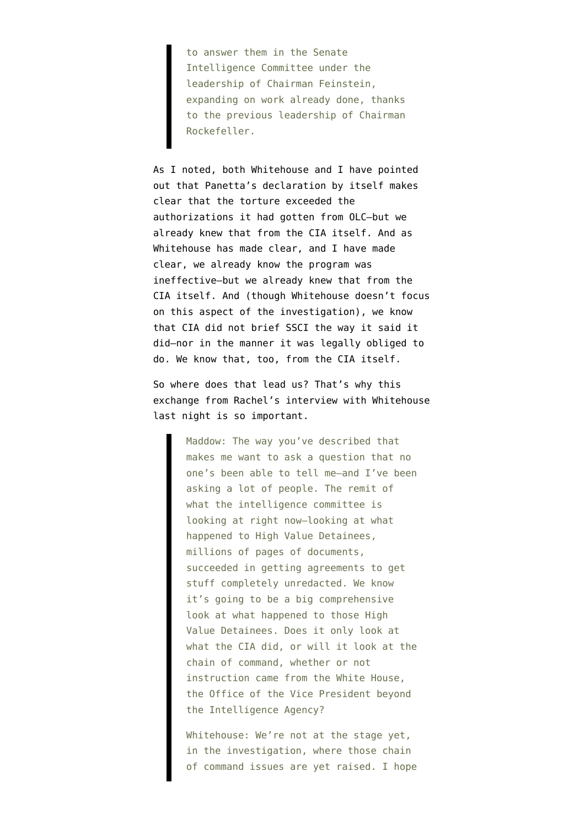to answer them in the Senate Intelligence Committee under the leadership of Chairman Feinstein, expanding on work already done, thanks to the previous leadership of Chairman Rockefeller.

As I noted, both Whitehouse and I have pointed out that Panetta's declaration by itself makes clear that the torture exceeded the authorizations it had gotten from OLC–but we already [knew that from the CIA itself](http://emptywheel.firedoglake.com/2009/04/17/the-bybee-memo-cant-be-used-for-good-faith-defense-on-water-boarding/). And as Whitehouse [has made clear,](http://emptywheel.firedoglake.com/2009/06/10/sheldon-whitehouse-no-further-actionable-intelligence-was-obtained-from-abu-zubaydah-by-waterboarding/) and I [have made](http://emptywheel.firedoglake.com/2009/04/22/abu-zubaydah-waterboarded-83-times-for-10-pieces-of-intelligence/) [clear](http://emptywheel.firedoglake.com/2009/04/22/abu-zubaydah-waterboarded-83-times-for-10-pieces-of-intelligence/), we already know the program was ineffective–but we already [knew that from the](http://emptywheel.firedoglake.com/2009/04/19/the-cia-ig-report-is-waterboarding-ksm-183-times-really-effective/) [CIA itself.](http://emptywheel.firedoglake.com/2009/04/19/the-cia-ig-report-is-waterboarding-ksm-183-times-really-effective/) And (though Whitehouse doesn't focus on this aspect of the investigation), we know that CIA did not brief SSCI the way it said it did–nor in the manner it was legally obliged to do. We know that, too, [from the CIA itself](http://emptywheel.firedoglake.com/2009/05/19/the-cias-comedy-of-briefing-list-errors/).

So where does that lead us? That's why this exchange from Rachel's interview with Whitehouse last night is so important.

> Maddow: The way you've described that makes me want to ask a question that no one's been able to tell me–and I've been asking a lot of people. The remit of what the intelligence committee is looking at right now–looking at what happened to High Value Detainees, millions of pages of documents, succeeded in getting agreements to get stuff completely unredacted. We know it's going to be a big comprehensive look at what happened to those High Value Detainees. Does it only look at what the CIA did, or will it look at the chain of command, whether or not instruction came from the White House, the Office of the Vice President beyond the Intelligence Agency?

> Whitehouse: We're not at the stage yet, in the investigation, where those chain of command issues are yet raised. I hope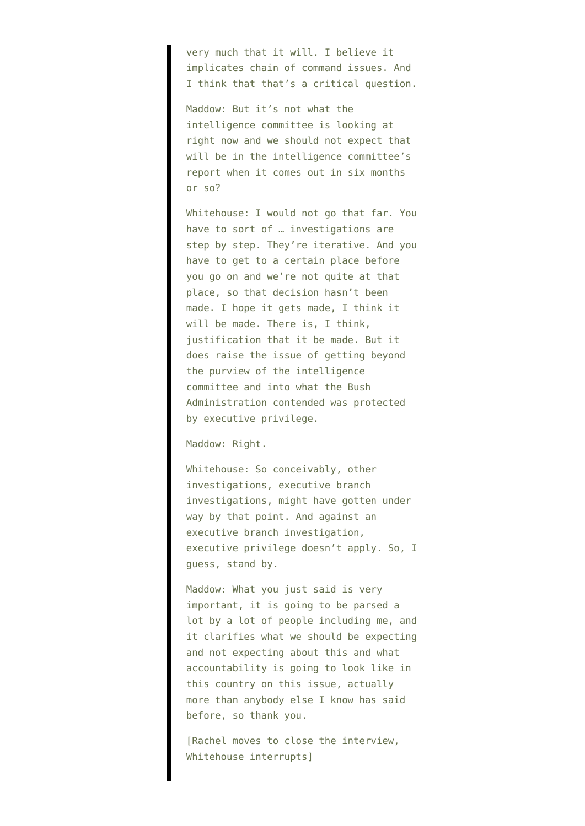very much that it will. I believe it implicates chain of command issues. And I think that that's a critical question.

Maddow: But it's not what the intelligence committee is looking at right now and we should not expect that will be in the intelligence committee's report when it comes out in six months or so?

Whitehouse: I would not go that far. You have to sort of … investigations are step by step. They're iterative. And you have to get to a certain place before you go on and we're not quite at that place, so that decision hasn't been made. I hope it gets made, I think it will be made. There is, I think, justification that it be made. But it does raise the issue of getting beyond the purview of the intelligence committee and into what the Bush Administration contended was protected by executive privilege.

## Maddow: Right.

Whitehouse: So conceivably, other investigations, executive branch investigations, might have gotten under way by that point. And against an executive branch investigation, executive privilege doesn't apply. So, I guess, stand by.

Maddow: What you just said is very important, it is going to be parsed a lot by a lot of people including me, and it clarifies what we should be expecting and not expecting about this and what accountability is going to look like in this country on this issue, actually more than anybody else I know has said before, so thank you.

[Rachel moves to close the interview, Whitehouse interrupts]